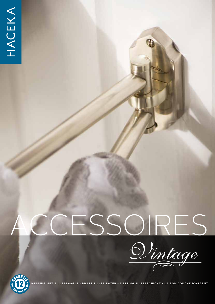# SSOIRES<br>Dintage



G



MESSING MET ZILVERLAAGJE - BRASS SILVER LAYER - MESSING SILBERSCHICHT - LAITON COUCHE D'ARGENT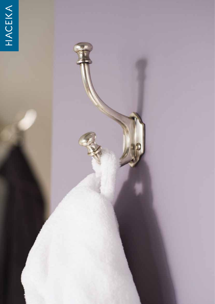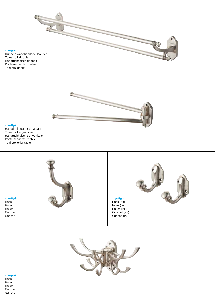

**1170902**

Towel rail, double Handtuchhalter, doppelt Porte-serviette, double Toallero, doble



## **1170891**

Handdoekhouder draaibaar Towel rail, adjustable Handtuchhalter, schwenkbar Porte-serviette, mobile Toallero, orientable





# **1170901**

Haak Hook Haken Crochet Gancho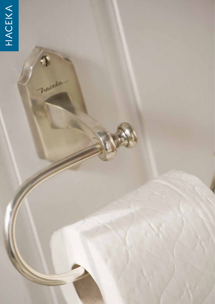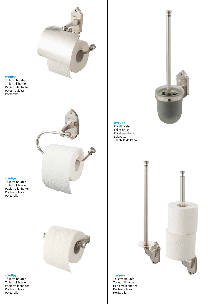

**1170893** Toiletrolhouder Toilet roll holder Papierrollenhalter Porte-rouleau Portarollo



**1170894** Toiletrolhouder

Toilet roll holder Papierrollenhalter Porte-rouleau Portarollo



**1170895**

Toiletrolhouder Toilet roll holder Papierrollenhalter Porte-rouleau Portarollo



### **1170899**

Toiletborstel Toilet brush Toilettenbürste Balayette Escobilla de baño



#### **1170900**

Toiletrolhouder Toilet roll holder Papierrollenhalter Porte-rouleau Portarollo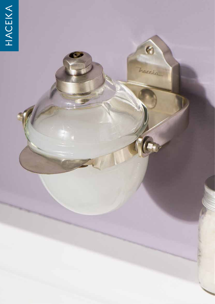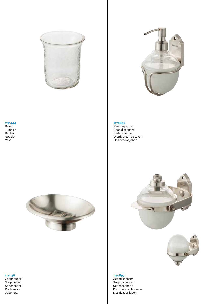



## **1171444**

Beker Tumbler Becher Gobelet Vaso

# **1170896**

Zeepdispenser Soap dispenser Seifenspender Distributeur de savon Dosificador jabón







#### **1170897**

Zeepdispenser Soap dispenser Seifenspender Distributeur de savon Dosificador jabón

#### **1171156**

Zeephouder Soap holder Seifenhalter Porte-savon Jabonera